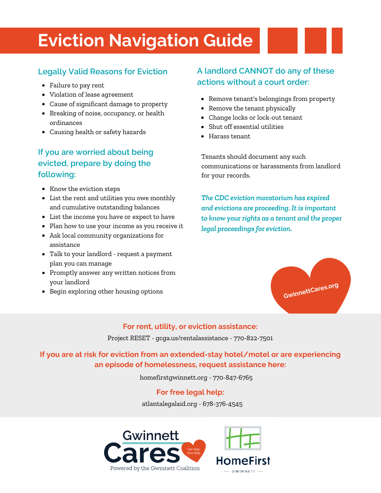# **Eviction Navigation Guide**

#### **Legally Valid Reasons for Eviction**

- 
- Violation of lease agreement
- Cause of significant damage to property
- Breaking of noise, occupancy, or health ordinances
- Causing health or safety hazards

## **If you are worried about being evicted, prepare by doing the following:**

- Know the eviction steps
- List the rent and utilities you owe monthly and cumulative outstanding balances
- List the income you have or expect to have
- Plan how to use your income as you receive it
- Ask local community organizations for assistance
- Talk to your landlord request a payment plan you can manage
- Promptly answer any written notices from your landlord
- Begin exploring other housing options

# **A landlord CANNOT do any of these actions without a court order:** Failure to pay rent

- Remove tenant's belongings from property
- Remove the tenant physically
- Change locks or lock-out tenant
- Shut off essential utilities
- Harass tenant

Tenants should document any such communications or harassments from landlord for your records.

*The CDC eviction moratorium has expired and evictions are proceeding. It is important to know your rights as a tenant and the proper legal proceedings for eviction.*



#### **For rent, utility, or eviction assistance:**

Project RESET - gcga.us/rentalassistance - 770-822-7501

**If you are at risk for eviction from an extended-stay hotel/motel or are experiencing an episode of homelessness, request assistance here:**

homefirstgwinnett.org - 770-847-6765

#### **For free legal help:**

atlantalegalaid.org - 678-376-4545